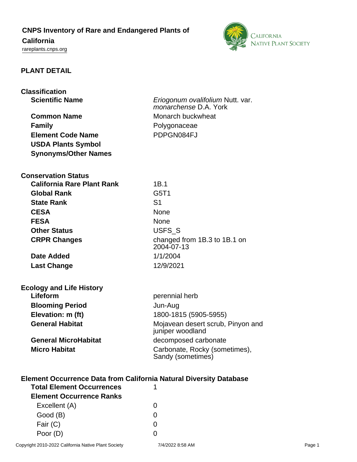# **CNPS Inventory of Rare and Endangered Plants of**

## **California**

<rareplants.cnps.org>



### **PLANT DETAIL**

| <b>Classification</b>                                                     |                                   |
|---------------------------------------------------------------------------|-----------------------------------|
| <b>Scientific Name</b>                                                    | Eriogonum ovalifolium Nutt. var.  |
|                                                                           | monarchense D.A. York             |
| <b>Common Name</b>                                                        | Monarch buckwheat                 |
| <b>Family</b>                                                             | Polygonaceae                      |
| <b>Element Code Name</b>                                                  | PDPGN084FJ                        |
| <b>USDA Plants Symbol</b>                                                 |                                   |
| <b>Synonyms/Other Names</b>                                               |                                   |
|                                                                           |                                   |
| <b>Conservation Status</b>                                                |                                   |
| <b>California Rare Plant Rank</b>                                         | 1B.1                              |
| <b>Global Rank</b>                                                        | G5T1                              |
| <b>State Rank</b>                                                         | S <sub>1</sub>                    |
| <b>CESA</b>                                                               | None                              |
| <b>FESA</b>                                                               | <b>None</b>                       |
| <b>Other Status</b>                                                       | USFS <sub>S</sub>                 |
| <b>CRPR Changes</b>                                                       | changed from 1B.3 to 1B.1 on      |
|                                                                           | 2004-07-13                        |
| Date Added                                                                | 1/1/2004                          |
| <b>Last Change</b>                                                        | 12/9/2021                         |
|                                                                           |                                   |
| <b>Ecology and Life History</b>                                           |                                   |
| Lifeform                                                                  | perennial herb                    |
| <b>Blooming Period</b>                                                    | Jun-Aug                           |
| Elevation: m (ft)                                                         | 1800-1815 (5905-5955)             |
| <b>General Habitat</b>                                                    | Mojavean desert scrub, Pinyon and |
|                                                                           | juniper woodland                  |
| <b>General MicroHabitat</b>                                               | decomposed carbonate              |
| <b>Micro Habitat</b>                                                      | Carbonate, Rocky (sometimes),     |
|                                                                           | Sandy (sometimes)                 |
|                                                                           |                                   |
| <b>Element Occurrence Data from California Natural Diversity Database</b> |                                   |
| <b>Total Element Occurrences</b>                                          | 1                                 |
| <b>Element Occurrence Ranks</b>                                           |                                   |
| Excellent (A)                                                             | $\Omega$                          |
| Good (B)                                                                  | 0                                 |
| Fair (C)                                                                  | 0                                 |

Poor (D) 0